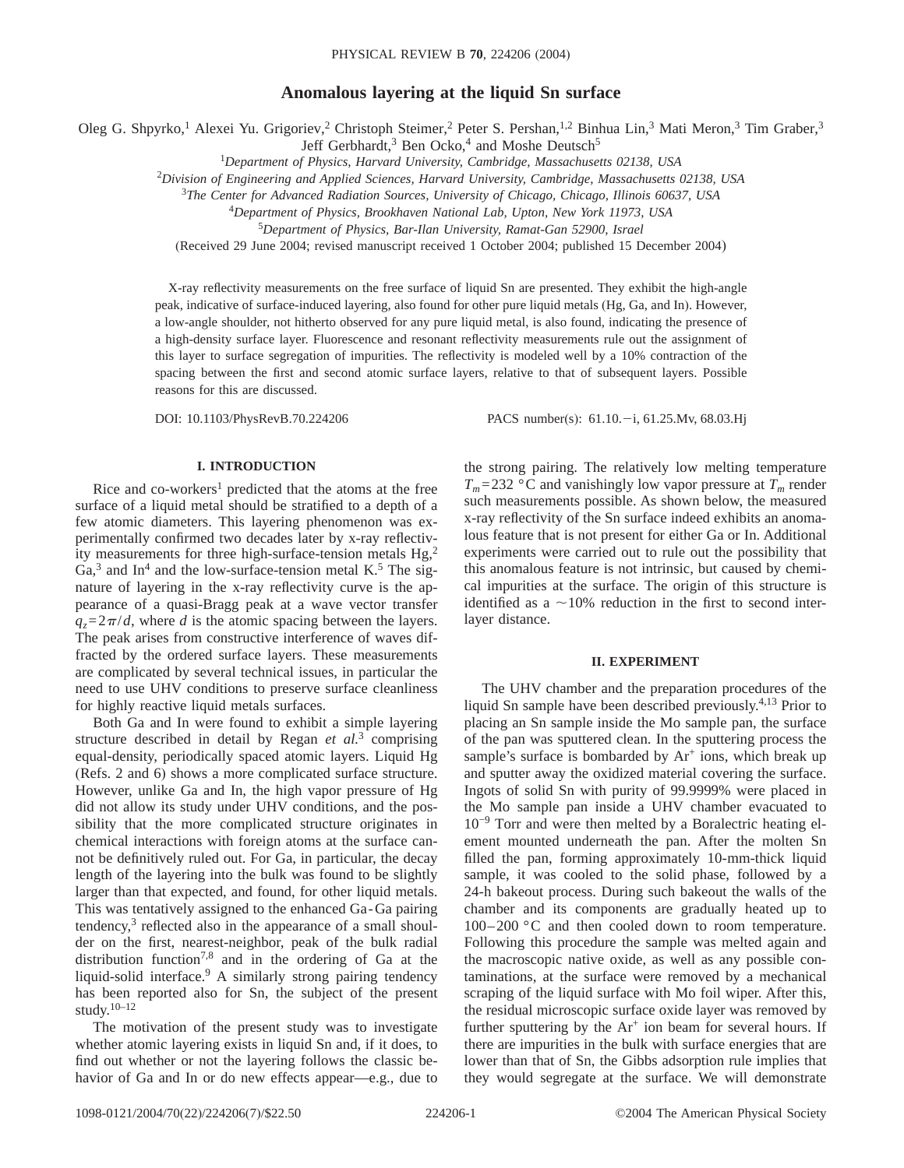# **Anomalous layering at the liquid Sn surface**

Oleg G. Shpyrko,<sup>1</sup> Alexei Yu. Grigoriev,<sup>2</sup> Christoph Steimer,<sup>2</sup> Peter S. Pershan,<sup>1,2</sup> Binhua Lin,<sup>3</sup> Mati Meron,<sup>3</sup> Tim Graber,<sup>3</sup>

Jeff Gerbhardt,<sup>3</sup> Ben Ocko,<sup>4</sup> and Moshe Deutsch<sup>5</sup>

1 *Department of Physics, Harvard University, Cambridge, Massachusetts 02138, USA*

2 *Division of Engineering and Applied Sciences, Harvard University, Cambridge, Massachusetts 02138, USA*

<sup>3</sup>*The Center for Advanced Radiation Sources, University of Chicago, Chicago, Illinois 60637, USA*

<sup>4</sup>*Department of Physics, Brookhaven National Lab, Upton, New York 11973, USA*

<sup>5</sup>*Department of Physics, Bar-Ilan University, Ramat-Gan 52900, Israel*

(Received 29 June 2004; revised manuscript received 1 October 2004; published 15 December 2004)

X-ray reflectivity measurements on the free surface of liquid Sn are presented. They exhibit the high-angle peak, indicative of surface-induced layering, also found for other pure liquid metals (Hg, Ga, and In). However, a low-angle shoulder, not hitherto observed for any pure liquid metal, is also found, indicating the presence of a high-density surface layer. Fluorescence and resonant reflectivity measurements rule out the assignment of this layer to surface segregation of impurities. The reflectivity is modeled well by a 10% contraction of the spacing between the first and second atomic surface layers, relative to that of subsequent layers. Possible reasons for this are discussed.

DOI: 10.1103/PhysRevB.70.224206 PACS number(s): 61.10. -i, 61.25.Mv, 68.03.Hj

# **I. INTRODUCTION**

Rice and co-workers<sup>1</sup> predicted that the atoms at the free surface of a liquid metal should be stratified to a depth of a few atomic diameters. This layering phenomenon was experimentally confirmed two decades later by x-ray reflectivity measurements for three high-surface-tension metals  $Hg<sub>z</sub><sup>2</sup>$  $Ga<sup>3</sup>$  and In<sup>4</sup> and the low-surface-tension metal K.<sup>5</sup> The signature of layering in the x-ray reflectivity curve is the appearance of a quasi-Bragg peak at a wave vector transfer  $q_z = 2\pi/d$ , where *d* is the atomic spacing between the layers. The peak arises from constructive interference of waves diffracted by the ordered surface layers. These measurements are complicated by several technical issues, in particular the need to use UHV conditions to preserve surface cleanliness for highly reactive liquid metals surfaces.

Both Ga and In were found to exhibit a simple layering structure described in detail by Regan *et al.*<sup>3</sup> comprising equal-density, periodically spaced atomic layers. Liquid Hg (Refs. 2 and 6) shows a more complicated surface structure. However, unlike Ga and In, the high vapor pressure of Hg did not allow its study under UHV conditions, and the possibility that the more complicated structure originates in chemical interactions with foreign atoms at the surface cannot be definitively ruled out. For Ga, in particular, the decay length of the layering into the bulk was found to be slightly larger than that expected, and found, for other liquid metals. This was tentatively assigned to the enhanced Ga-Ga pairing tendency, $3$  reflected also in the appearance of a small shoulder on the first, nearest-neighbor, peak of the bulk radial distribution function7,8 and in the ordering of Ga at the liquid-solid interface.<sup>9</sup> A similarly strong pairing tendency has been reported also for Sn, the subject of the present study.10–12

The motivation of the present study was to investigate whether atomic layering exists in liquid Sn and, if it does, to find out whether or not the layering follows the classic behavior of Ga and In or do new effects appear—e.g., due to the strong pairing. The relatively low melting temperature  $T_m = 232$  °C and vanishingly low vapor pressure at  $T_m$  render such measurements possible. As shown below, the measured x-ray reflectivity of the Sn surface indeed exhibits an anomalous feature that is not present for either Ga or In. Additional experiments were carried out to rule out the possibility that this anomalous feature is not intrinsic, but caused by chemical impurities at the surface. The origin of this structure is identified as a  $\sim$ 10% reduction in the first to second interlayer distance.

### **II. EXPERIMENT**

The UHV chamber and the preparation procedures of the liquid Sn sample have been described previously.4,13 Prior to placing an Sn sample inside the Mo sample pan, the surface of the pan was sputtered clean. In the sputtering process the sample's surface is bombarded by  $Ar^+$  ions, which break up and sputter away the oxidized material covering the surface. Ingots of solid Sn with purity of 99.9999% were placed in the Mo sample pan inside a UHV chamber evacuated to 10−9 Torr and were then melted by a Boralectric heating element mounted underneath the pan. After the molten Sn filled the pan, forming approximately 10-mm-thick liquid sample, it was cooled to the solid phase, followed by a 24-h bakeout process. During such bakeout the walls of the chamber and its components are gradually heated up to 100–200 °C and then cooled down to room temperature. Following this procedure the sample was melted again and the macroscopic native oxide, as well as any possible contaminations, at the surface were removed by a mechanical scraping of the liquid surface with Mo foil wiper. After this, the residual microscopic surface oxide layer was removed by further sputtering by the  $Ar^+$  ion beam for several hours. If there are impurities in the bulk with surface energies that are lower than that of Sn, the Gibbs adsorption rule implies that they would segregate at the surface. We will demonstrate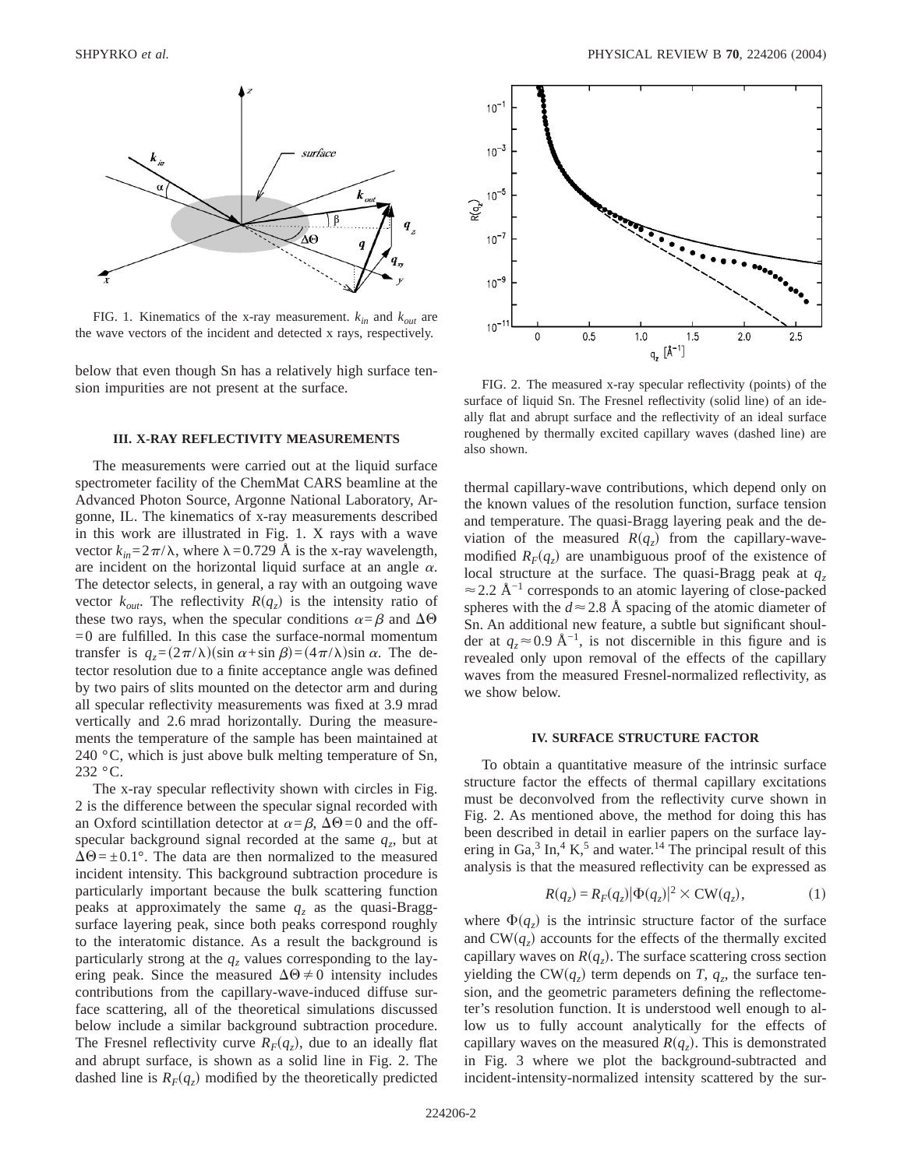

FIG. 1. Kinematics of the x-ray measurement. *kin* and *kout* are the wave vectors of the incident and detected x rays, respectively.

below that even though Sn has a relatively high surface tension impurities are not present at the surface.

### **III. X-RAY REFLECTIVITY MEASUREMENTS**

The measurements were carried out at the liquid surface spectrometer facility of the ChemMat CARS beamline at the Advanced Photon Source, Argonne National Laboratory, Argonne, IL. The kinematics of x-ray measurements described in this work are illustrated in Fig. 1. X rays with a wave vector  $k_{in} = 2\pi/\lambda$ , where  $\lambda = 0.729$  Å is the x-ray wavelength, are incident on the horizontal liquid surface at an angle  $\alpha$ . The detector selects, in general, a ray with an outgoing wave vector  $k_{out}$ . The reflectivity  $R(q<sub>z</sub>)$  is the intensity ratio of these two rays, when the specular conditions  $\alpha = \beta$  and  $\Delta\Theta$  $=0$  are fulfilled. In this case the surface-normal momentum transfer is  $q_z = (2\pi/\lambda)(\sin \alpha + \sin \beta) = (4\pi/\lambda)\sin \alpha$ . The detector resolution due to a finite acceptance angle was defined by two pairs of slits mounted on the detector arm and during all specular reflectivity measurements was fixed at 3.9 mrad vertically and 2.6 mrad horizontally. During the measurements the temperature of the sample has been maintained at 240  $\degree$ C, which is just above bulk melting temperature of Sn, 232 °C.

The x-ray specular reflectivity shown with circles in Fig. 2 is the difference between the specular signal recorded with an Oxford scintillation detector at  $\alpha = \beta$ ,  $\Delta\Theta = 0$  and the offspecular background signal recorded at the same  $q<sub>z</sub>$ , but at  $\Delta\Theta = \pm 0.1^{\circ}$ . The data are then normalized to the measured incident intensity. This background subtraction procedure is particularly important because the bulk scattering function peaks at approximately the same  $q_z$  as the quasi-Braggsurface layering peak, since both peaks correspond roughly to the interatomic distance. As a result the background is particularly strong at the  $q_z$  values corresponding to the layering peak. Since the measured  $\Delta\Theta \neq 0$  intensity includes contributions from the capillary-wave-induced diffuse surface scattering, all of the theoretical simulations discussed below include a similar background subtraction procedure. The Fresnel reflectivity curve  $R_F(q_z)$ , due to an ideally flat and abrupt surface, is shown as a solid line in Fig. 2. The dashed line is  $R_F(q_z)$  modified by the theoretically predicted



FIG. 2. The measured x-ray specular reflectivity (points) of the surface of liquid Sn. The Fresnel reflectivity (solid line) of an ideally flat and abrupt surface and the reflectivity of an ideal surface roughened by thermally excited capillary waves (dashed line) are also shown.

thermal capillary-wave contributions, which depend only on the known values of the resolution function, surface tension and temperature. The quasi-Bragg layering peak and the deviation of the measured  $R(q_z)$  from the capillary-wavemodified  $R_F(q_z)$  are unambiguous proof of the existence of local structure at the surface. The quasi-Bragg peak at  $q_z$  $\approx$  2.2 Å<sup>-1</sup> corresponds to an atomic layering of close-packed spheres with the  $d \approx 2.8$  Å spacing of the atomic diameter of Sn. An additional new feature, a subtle but significant shoulder at  $q_z \approx 0.9$  Å<sup>-1</sup>, is not discernible in this figure and is revealed only upon removal of the effects of the capillary waves from the measured Fresnel-normalized reflectivity, as we show below.

### **IV. SURFACE STRUCTURE FACTOR**

To obtain a quantitative measure of the intrinsic surface structure factor the effects of thermal capillary excitations must be deconvolved from the reflectivity curve shown in Fig. 2. As mentioned above, the method for doing this has been described in detail in earlier papers on the surface layering in Ga, $3 \text{ In}$ ,  $4 \text{ K}$ ,  $5 \text{ and water}$ ,  $14 \text{ The principal result of this}$ analysis is that the measured reflectivity can be expressed as

$$
R(q_z) = R_F(q_z) |\Phi(q_z)|^2 \times \text{CW}(q_z), \tag{1}
$$

where  $\Phi(q_z)$  is the intrinsic structure factor of the surface and  $CW(q_z)$  accounts for the effects of the thermally excited capillary waves on  $R(q_z)$ . The surface scattering cross section yielding the CW $(q_z)$  term depends on *T*,  $q_z$ , the surface tension, and the geometric parameters defining the reflectometer's resolution function. It is understood well enough to allow us to fully account analytically for the effects of capillary waves on the measured  $R(q_z)$ . This is demonstrated in Fig. 3 where we plot the background-subtracted and incident-intensity-normalized intensity scattered by the sur-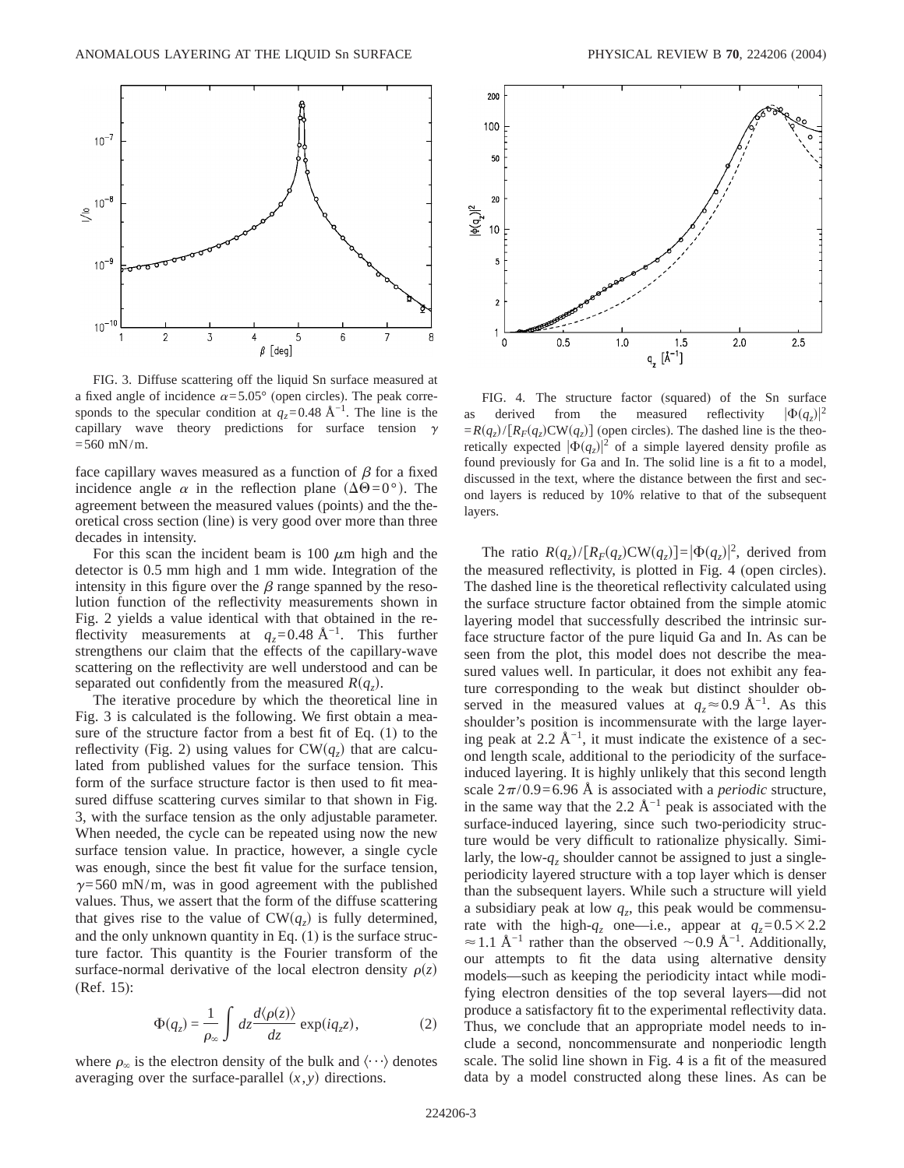

FIG. 3. Diffuse scattering off the liquid Sn surface measured at a fixed angle of incidence  $\alpha = 5.05^{\circ}$  (open circles). The peak corresponds to the specular condition at  $q_z$ =0.48 Å<sup>-1</sup>. The line is the capillary wave theory predictions for surface tension  $\gamma$  $=560$  mN/m.

face capillary waves measured as a function of  $\beta$  for a fixed incidence angle  $\alpha$  in the reflection plane  $(\Delta\Theta=0^{\circ})$ . The agreement between the measured values (points) and the theoretical cross section (line) is very good over more than three decades in intensity.

For this scan the incident beam is 100  $\mu$ m high and the detector is 0.5 mm high and 1 mm wide. Integration of the intensity in this figure over the  $\beta$  range spanned by the resolution function of the reflectivity measurements shown in Fig. 2 yields a value identical with that obtained in the reflectivity measurements at  $q_z$ =0.48 Å<sup>-1</sup>. This further strengthens our claim that the effects of the capillary-wave scattering on the reflectivity are well understood and can be separated out confidently from the measured  $R(q_z)$ .

The iterative procedure by which the theoretical line in Fig. 3 is calculated is the following. We first obtain a measure of the structure factor from a best fit of Eq. (1) to the reflectivity (Fig. 2) using values for  $CW(q_z)$  that are calculated from published values for the surface tension. This form of the surface structure factor is then used to fit measured diffuse scattering curves similar to that shown in Fig. 3, with the surface tension as the only adjustable parameter. When needed, the cycle can be repeated using now the new surface tension value. In practice, however, a single cycle was enough, since the best fit value for the surface tension,  $\gamma$ =560 mN/m, was in good agreement with the published values. Thus, we assert that the form of the diffuse scattering that gives rise to the value of  $CW(q_z)$  is fully determined, and the only unknown quantity in Eq. (1) is the surface structure factor. This quantity is the Fourier transform of the surface-normal derivative of the local electron density  $\rho(z)$ (Ref. 15):

$$
\Phi(q_z) = \frac{1}{\rho_{\infty}} \int dz \frac{d\langle \rho(z) \rangle}{dz} \exp(iq_z z), \tag{2}
$$

where  $\rho_{\infty}$  is the electron density of the bulk and  $\langle \cdots \rangle$  denotes averaging over the surface-parallel  $(x, y)$  directions.



FIG. 4. The structure factor (squared) of the Sn surface as derived from the measured reflectivity  $|\Phi(q_z)|^2$  $= R(q_z)/[R_F(q_z)CW(q_z)]$  (open circles). The dashed line is the theoretically expected  $|\Phi(q_z)|^2$  of a simple layered density profile as found previously for Ga and In. The solid line is a fit to a model, discussed in the text, where the distance between the first and second layers is reduced by 10% relative to that of the subsequent layers.

The ratio  $R(q_z)/[R_F(q_z)CW(q_z)] = |\Phi(q_z)|^2$ , derived from the measured reflectivity, is plotted in Fig. 4 (open circles). The dashed line is the theoretical reflectivity calculated using the surface structure factor obtained from the simple atomic layering model that successfully described the intrinsic surface structure factor of the pure liquid Ga and In. As can be seen from the plot, this model does not describe the measured values well. In particular, it does not exhibit any feature corresponding to the weak but distinct shoulder observed in the measured values at  $q_z \approx 0.9 \text{ Å}^{-1}$ . As this shoulder's position is incommensurate with the large layering peak at 2.2 Å<sup>-1</sup>, it must indicate the existence of a second length scale, additional to the periodicity of the surfaceinduced layering. It is highly unlikely that this second length scale  $2\pi/0.9=6.96$  Å is associated with a *periodic* structure, in the same way that the 2.2  $Å^{-1}$  peak is associated with the surface-induced layering, since such two-periodicity structure would be very difficult to rationalize physically. Similarly, the low- $q_z$  shoulder cannot be assigned to just a singleperiodicity layered structure with a top layer which is denser than the subsequent layers. While such a structure will yield a subsidiary peak at low  $q_z$ , this peak would be commensurate with the high- $q_z$  one—i.e., appear at  $q_z=0.5\times2.2$  $\approx$  1.1 Å<sup>-1</sup> rather than the observed  $\sim$  0.9 Å<sup>-1</sup>. Additionally, our attempts to fit the data using alternative density models—such as keeping the periodicity intact while modifying electron densities of the top several layers—did not produce a satisfactory fit to the experimental reflectivity data. Thus, we conclude that an appropriate model needs to include a second, noncommensurate and nonperiodic length scale. The solid line shown in Fig. 4 is a fit of the measured data by a model constructed along these lines. As can be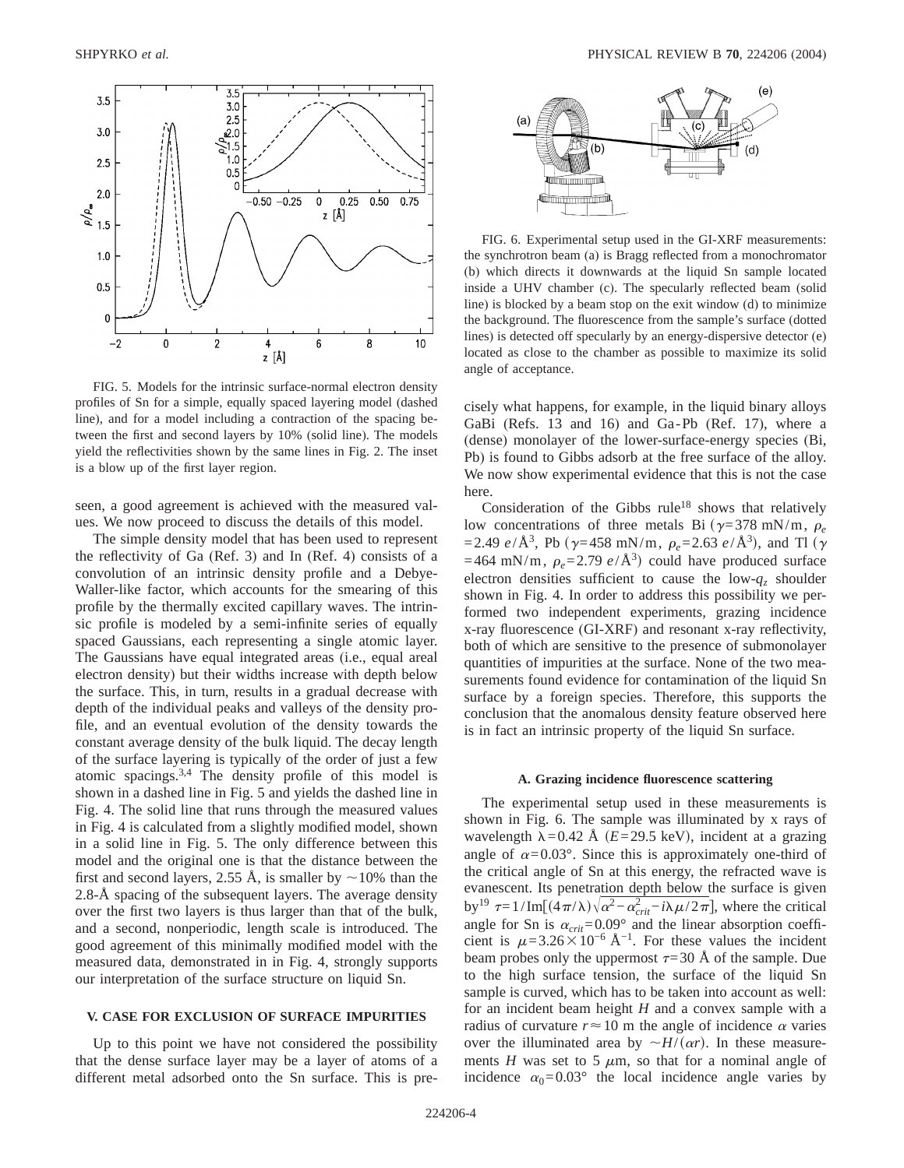

FIG. 5. Models for the intrinsic surface-normal electron density profiles of Sn for a simple, equally spaced layering model (dashed line), and for a model including a contraction of the spacing between the first and second layers by 10% (solid line). The models yield the reflectivities shown by the same lines in Fig. 2. The inset is a blow up of the first layer region.

seen, a good agreement is achieved with the measured values. We now proceed to discuss the details of this model.

The simple density model that has been used to represent the reflectivity of Ga (Ref. 3) and In (Ref. 4) consists of a convolution of an intrinsic density profile and a Debye-Waller-like factor, which accounts for the smearing of this profile by the thermally excited capillary waves. The intrinsic profile is modeled by a semi-infinite series of equally spaced Gaussians, each representing a single atomic layer. The Gaussians have equal integrated areas (i.e., equal areal electron density) but their widths increase with depth below the surface. This, in turn, results in a gradual decrease with depth of the individual peaks and valleys of the density profile, and an eventual evolution of the density towards the constant average density of the bulk liquid. The decay length of the surface layering is typically of the order of just a few atomic spacings.3,4 The density profile of this model is shown in a dashed line in Fig. 5 and yields the dashed line in Fig. 4. The solid line that runs through the measured values in Fig. 4 is calculated from a slightly modified model, shown in a solid line in Fig. 5. The only difference between this model and the original one is that the distance between the first and second layers, 2.55 Å, is smaller by  $\sim$ 10% than the 2.8-Å spacing of the subsequent layers. The average density over the first two layers is thus larger than that of the bulk, and a second, nonperiodic, length scale is introduced. The good agreement of this minimally modified model with the measured data, demonstrated in in Fig. 4, strongly supports our interpretation of the surface structure on liquid Sn.

#### **V. CASE FOR EXCLUSION OF SURFACE IMPURITIES**

Up to this point we have not considered the possibility that the dense surface layer may be a layer of atoms of a different metal adsorbed onto the Sn surface. This is pre-



FIG. 6. Experimental setup used in the GI-XRF measurements: the synchrotron beam (a) is Bragg reflected from a monochromator (b) which directs it downwards at the liquid Sn sample located inside a UHV chamber (c). The specularly reflected beam (solid line) is blocked by a beam stop on the exit window (d) to minimize the background. The fluorescence from the sample's surface (dotted lines) is detected off specularly by an energy-dispersive detector (e) located as close to the chamber as possible to maximize its solid angle of acceptance.

cisely what happens, for example, in the liquid binary alloys GaBi (Refs. 13 and 16) and Ga-Pb (Ref. 17), where a (dense) monolayer of the lower-surface-energy species (Bi, Pb) is found to Gibbs adsorb at the free surface of the alloy. We now show experimental evidence that this is not the case here.

Consideration of the Gibbs  $rule^{18}$  shows that relatively low concentrations of three metals Bi  $(\gamma=378 \text{ mN/m}, \rho_e$  $=$  2.49 *e*/Å<sup>3</sup>, Pb ( $\gamma$ =458 mN/m,  $\rho_e$ = 2.63 *e*/Å<sup>3</sup>), and Tl ( $\gamma$  $=464$  mN/m,  $\rho_e = 2.79$  *e*/Å<sup>3</sup>) could have produced surface electron densities sufficient to cause the low- $q_z$  shoulder shown in Fig. 4. In order to address this possibility we performed two independent experiments, grazing incidence x-ray fluorescence (GI-XRF) and resonant x-ray reflectivity, both of which are sensitive to the presence of submonolayer quantities of impurities at the surface. None of the two measurements found evidence for contamination of the liquid Sn surface by a foreign species. Therefore, this supports the conclusion that the anomalous density feature observed here is in fact an intrinsic property of the liquid Sn surface.

#### **A. Grazing incidence fluorescence scattering**

The experimental setup used in these measurements is shown in Fig. 6. The sample was illuminated by x rays of wavelength  $\lambda$ =0.42 Å (*E*=29.5 keV), incident at a grazing angle of  $\alpha = 0.03^{\circ}$ . Since this is approximately one-third of the critical angle of Sn at this energy, the refracted wave is evanescent. Its penetration depth below the surface is given by<sup>19</sup>  $\tau = 1/\text{Im}[(4\pi/\lambda)\sqrt{\alpha^2 - \alpha_{crit}^2 - i\lambda \mu/2\pi}]$ , where the critical angle for Sn is  $\alpha_{crit} = 0.09^\circ$  and the linear absorption coefficient is  $\mu=3.26\times10^{-6}$  Å<sup>-1</sup>. For these values the incident beam probes only the uppermost  $\tau=30$  Å of the sample. Due to the high surface tension, the surface of the liquid Sn sample is curved, which has to be taken into account as well: for an incident beam height *H* and a convex sample with a radius of curvature  $r \approx 10$  m the angle of incidence  $\alpha$  varies over the illuminated area by  $\sim H/(\alpha r)$ . In these measurements  $H$  was set to 5  $\mu$ m, so that for a nominal angle of incidence  $\alpha_0 = 0.03^\circ$  the local incidence angle varies by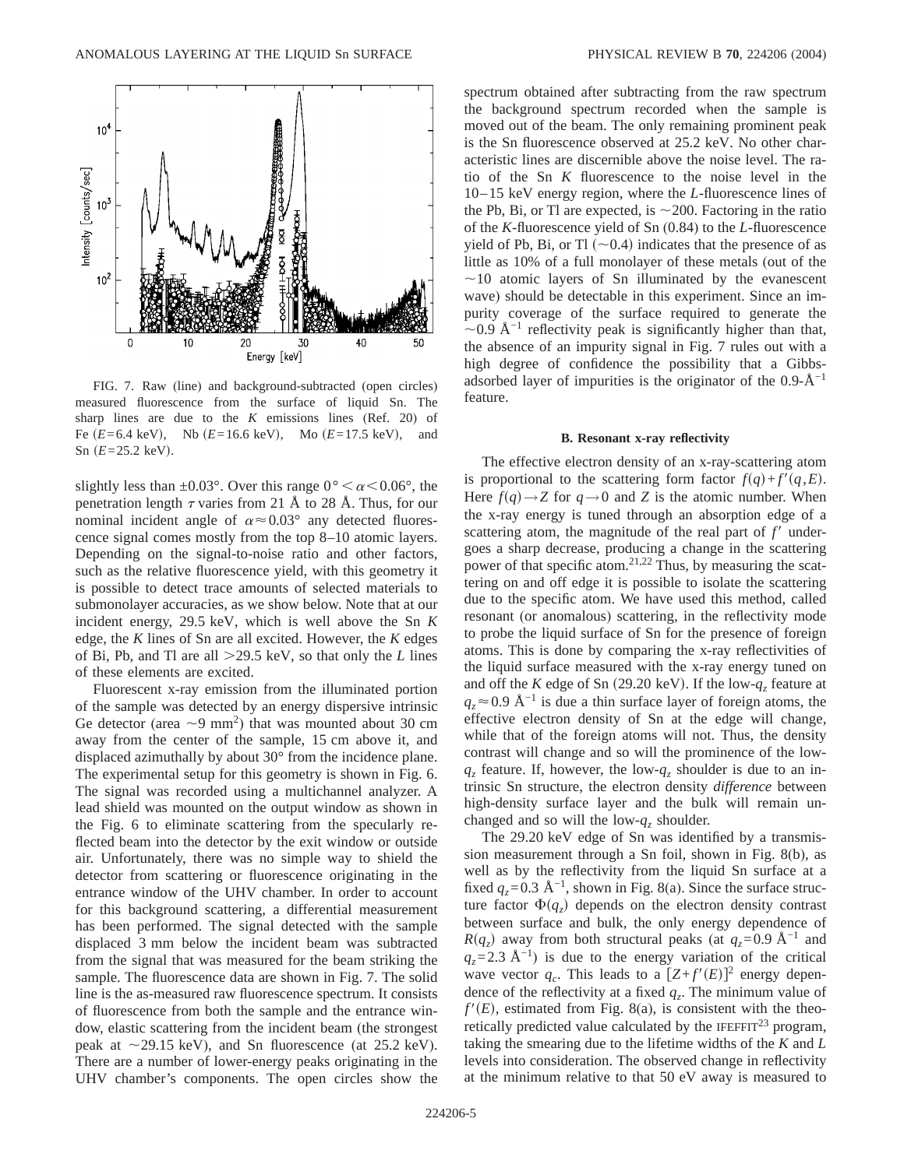

FIG. 7. Raw (line) and background-subtracted (open circles) measured fluorescence from the surface of liquid Sn. The sharp lines are due to the *K* emissions lines (Ref. 20) of Fe  $(E=6.4 \text{ keV})$ , Nb  $(E=16.6 \text{ keV})$ , Mo  $(E=17.5 \text{ keV})$ , and  $Sn(E=25.2 \text{ keV}).$ 

slightly less than  $\pm 0.03^{\circ}$ . Over this range  $0^{\circ} < \alpha < 0.06^{\circ}$ , the penetration length  $\tau$  varies from 21 Å to 28 Å. Thus, for our nominal incident angle of  $\alpha \approx 0.03^{\circ}$  any detected fluorescence signal comes mostly from the top 8–10 atomic layers. Depending on the signal-to-noise ratio and other factors, such as the relative fluorescence yield, with this geometry it is possible to detect trace amounts of selected materials to submonolayer accuracies, as we show below. Note that at our incident energy, 29.5 keV, which is well above the Sn *K* edge, the *K* lines of Sn are all excited. However, the *K* edges of Bi, Pb, and Tl are all .29.5 keV, so that only the *L* lines of these elements are excited.

Fluorescent x-ray emission from the illuminated portion of the sample was detected by an energy dispersive intrinsic Ge detector (area  $\sim$ 9 mm<sup>2</sup>) that was mounted about 30 cm away from the center of the sample, 15 cm above it, and displaced azimuthally by about 30° from the incidence plane. The experimental setup for this geometry is shown in Fig. 6. The signal was recorded using a multichannel analyzer. A lead shield was mounted on the output window as shown in the Fig. 6 to eliminate scattering from the specularly reflected beam into the detector by the exit window or outside air. Unfortunately, there was no simple way to shield the detector from scattering or fluorescence originating in the entrance window of the UHV chamber. In order to account for this background scattering, a differential measurement has been performed. The signal detected with the sample displaced 3 mm below the incident beam was subtracted from the signal that was measured for the beam striking the sample. The fluorescence data are shown in Fig. 7. The solid line is the as-measured raw fluorescence spectrum. It consists of fluorescence from both the sample and the entrance window, elastic scattering from the incident beam (the strongest peak at  $\sim$  29.15 keV), and Sn fluorescence (at 25.2 keV). There are a number of lower-energy peaks originating in the UHV chamber's components. The open circles show the spectrum obtained after subtracting from the raw spectrum the background spectrum recorded when the sample is moved out of the beam. The only remaining prominent peak is the Sn fluorescence observed at 25.2 keV. No other characteristic lines are discernible above the noise level. The ratio of the Sn *K* fluorescence to the noise level in the 10–15 keV energy region, where the *L*-fluorescence lines of the Pb, Bi, or Tl are expected, is  $\sim$  200. Factoring in the ratio of the *K*-fluorescence yield of Sn (0.84) to the *L*-fluorescence yield of Pb, Bi, or Tl  $(\sim 0.4)$  indicates that the presence of as little as 10% of a full monolayer of these metals (out of the  $\sim$ 10 atomic layers of Sn illuminated by the evanescent wave) should be detectable in this experiment. Since an impurity coverage of the surface required to generate the  $\sim$ 0.9 Å<sup>−1</sup> reflectivity peak is significantly higher than that, the absence of an impurity signal in Fig. 7 rules out with a high degree of confidence the possibility that a Gibbsadsorbed layer of impurities is the originator of the  $0.9-\text{\AA}^{-1}$ feature.

#### **B. Resonant x-ray reflectivity**

The effective electron density of an x-ray-scattering atom is proportional to the scattering form factor  $f(q) + f'(q, E)$ . Here  $f(q) \rightarrow Z$  for  $q \rightarrow 0$  and *Z* is the atomic number. When the x-ray energy is tuned through an absorption edge of a scattering atom, the magnitude of the real part of  $f'$  undergoes a sharp decrease, producing a change in the scattering power of that specific atom.<sup>21,22</sup> Thus, by measuring the scattering on and off edge it is possible to isolate the scattering due to the specific atom. We have used this method, called resonant (or anomalous) scattering, in the reflectivity mode to probe the liquid surface of Sn for the presence of foreign atoms. This is done by comparing the x-ray reflectivities of the liquid surface measured with the x-ray energy tuned on and off the *K* edge of Sn (29.20 keV). If the low- $q_z$  feature at  $q_z \approx 0.9$  Å<sup>-1</sup> is due a thin surface layer of foreign atoms, the effective electron density of Sn at the edge will change, while that of the foreign atoms will not. Thus, the density contrast will change and so will the prominence of the low $q_z$  feature. If, however, the low- $q_z$  shoulder is due to an intrinsic Sn structure, the electron density *difference* between high-density surface layer and the bulk will remain unchanged and so will the low- $q_z$  shoulder.

The 29.20 keV edge of Sn was identified by a transmission measurement through a Sn foil, shown in Fig. 8(b), as well as by the reflectivity from the liquid Sn surface at a fixed  $q_z$ =0.3 Å<sup>-1</sup>, shown in Fig. 8(a). Since the surface structure factor  $\Phi(q_z)$  depends on the electron density contrast between surface and bulk, the only energy dependence of  $R(q_z)$  away from both structural peaks (at  $q_z$ =0.9 Å<sup>-1</sup> and  $q_z$ =2.3 Å<sup>-1</sup>) is due to the energy variation of the critical wave vector  $q_c$ . This leads to a  $[Z+f'(E)]^2$  energy dependence of the reflectivity at a fixed  $q_z$ . The minimum value of  $f'(E)$ , estimated from Fig. 8(a), is consistent with the theoretically predicted value calculated by the  $IFEFFIT<sup>23</sup>$  program, taking the smearing due to the lifetime widths of the *K* and *L* levels into consideration. The observed change in reflectivity at the minimum relative to that 50 eV away is measured to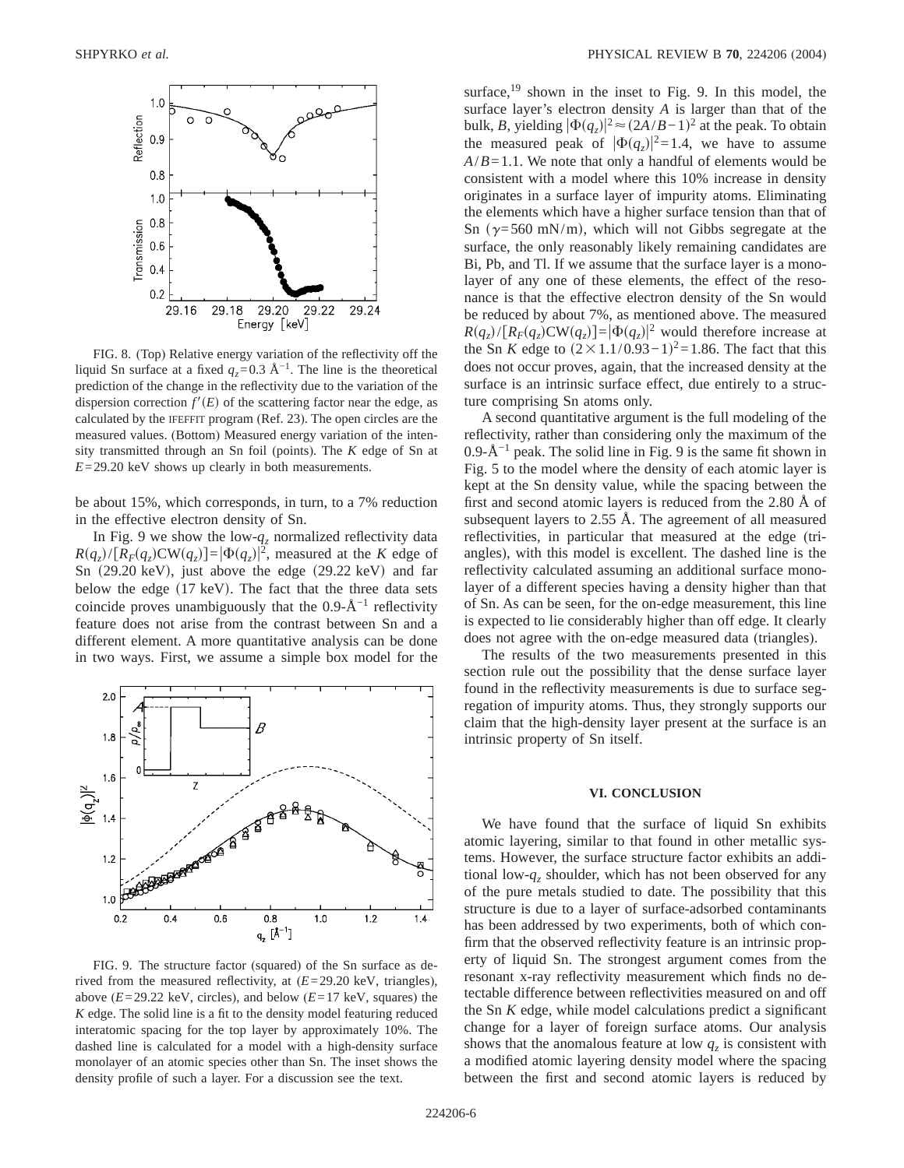

FIG. 8. (Top) Relative energy variation of the reflectivity off the liquid Sn surface at a fixed  $q_z$ =0.3 Å<sup>-1</sup>. The line is the theoretical prediction of the change in the reflectivity due to the variation of the dispersion correction  $f'(E)$  of the scattering factor near the edge, as calculated by the IFEFFIT program (Ref. 23). The open circles are the measured values. (Bottom) Measured energy variation of the intensity transmitted through an Sn foil (points). The *K* edge of Sn at *E*=29.20 keV shows up clearly in both measurements.

be about 15%, which corresponds, in turn, to a 7% reduction in the effective electron density of Sn.

In Fig. 9 we show the low- $q_z$  normalized reflectivity data  $R(q_z)/[R_F(q_z)$ CW $(q_z)$ ]= $|\Phi(q_z)|^2$ , measured at the *K* edge of Sn  $(29.20 \text{ keV})$ , just above the edge  $(29.22 \text{ keV})$  and far below the edge  $(17 \text{ keV})$ . The fact that the three data sets coincide proves unambiguously that the 0.9- $\AA^{-1}$  reflectivity feature does not arise from the contrast between Sn and a different element. A more quantitative analysis can be done in two ways. First, we assume a simple box model for the



FIG. 9. The structure factor (squared) of the Sn surface as derived from the measured reflectivity, at (*E*=29.20 keV, triangles), above  $(E=29.22 \text{ keV}, \text{circles})$ , and below  $(E=17 \text{ keV}, \text{squares})$  the *K* edge. The solid line is a fit to the density model featuring reduced interatomic spacing for the top layer by approximately 10%. The dashed line is calculated for a model with a high-density surface monolayer of an atomic species other than Sn. The inset shows the density profile of such a layer. For a discussion see the text.

surface, $19$  shown in the inset to Fig. 9. In this model, the surface layer's electron density *A* is larger than that of the bulk, *B*, yielding  $|\Phi(q_z)|^2 \approx (2A/B-1)^2$  at the peak. To obtain the measured peak of  $|\Phi(q_z)|^2=1.4$ , we have to assume  $A/B = 1.1$ . We note that only a handful of elements would be consistent with a model where this 10% increase in density originates in a surface layer of impurity atoms. Eliminating the elements which have a higher surface tension than that of Sn ( $\gamma$ =560 mN/m), which will not Gibbs segregate at the surface, the only reasonably likely remaining candidates are Bi, Pb, and Tl. If we assume that the surface layer is a monolayer of any one of these elements, the effect of the resonance is that the effective electron density of the Sn would be reduced by about 7%, as mentioned above. The measured  $R(q_z)/[R_F(q_z)CW(q_z)] = |\Phi(q_z)|^2$  would therefore increase at the Sn *K* edge to  $(2 \times 1.1/0.93-1)^2 = 1.86$ . The fact that this does not occur proves, again, that the increased density at the surface is an intrinsic surface effect, due entirely to a structure comprising Sn atoms only.

A second quantitative argument is the full modeling of the reflectivity, rather than considering only the maximum of the 0.9-Å<sup> $-1$ </sup> peak. The solid line in Fig. 9 is the same fit shown in Fig. 5 to the model where the density of each atomic layer is kept at the Sn density value, while the spacing between the first and second atomic layers is reduced from the 2.80 Å of subsequent layers to 2.55 Å. The agreement of all measured reflectivities, in particular that measured at the edge (triangles), with this model is excellent. The dashed line is the reflectivity calculated assuming an additional surface monolayer of a different species having a density higher than that of Sn. As can be seen, for the on-edge measurement, this line is expected to lie considerably higher than off edge. It clearly does not agree with the on-edge measured data (triangles).

The results of the two measurements presented in this section rule out the possibility that the dense surface layer found in the reflectivity measurements is due to surface segregation of impurity atoms. Thus, they strongly supports our claim that the high-density layer present at the surface is an intrinsic property of Sn itself.

## **VI. CONCLUSION**

We have found that the surface of liquid Sn exhibits atomic layering, similar to that found in other metallic systems. However, the surface structure factor exhibits an additional low- $q_z$  shoulder, which has not been observed for any of the pure metals studied to date. The possibility that this structure is due to a layer of surface-adsorbed contaminants has been addressed by two experiments, both of which confirm that the observed reflectivity feature is an intrinsic property of liquid Sn. The strongest argument comes from the resonant x-ray reflectivity measurement which finds no detectable difference between reflectivities measured on and off the Sn *K* edge, while model calculations predict a significant change for a layer of foreign surface atoms. Our analysis shows that the anomalous feature at low  $q_z$  is consistent with a modified atomic layering density model where the spacing between the first and second atomic layers is reduced by